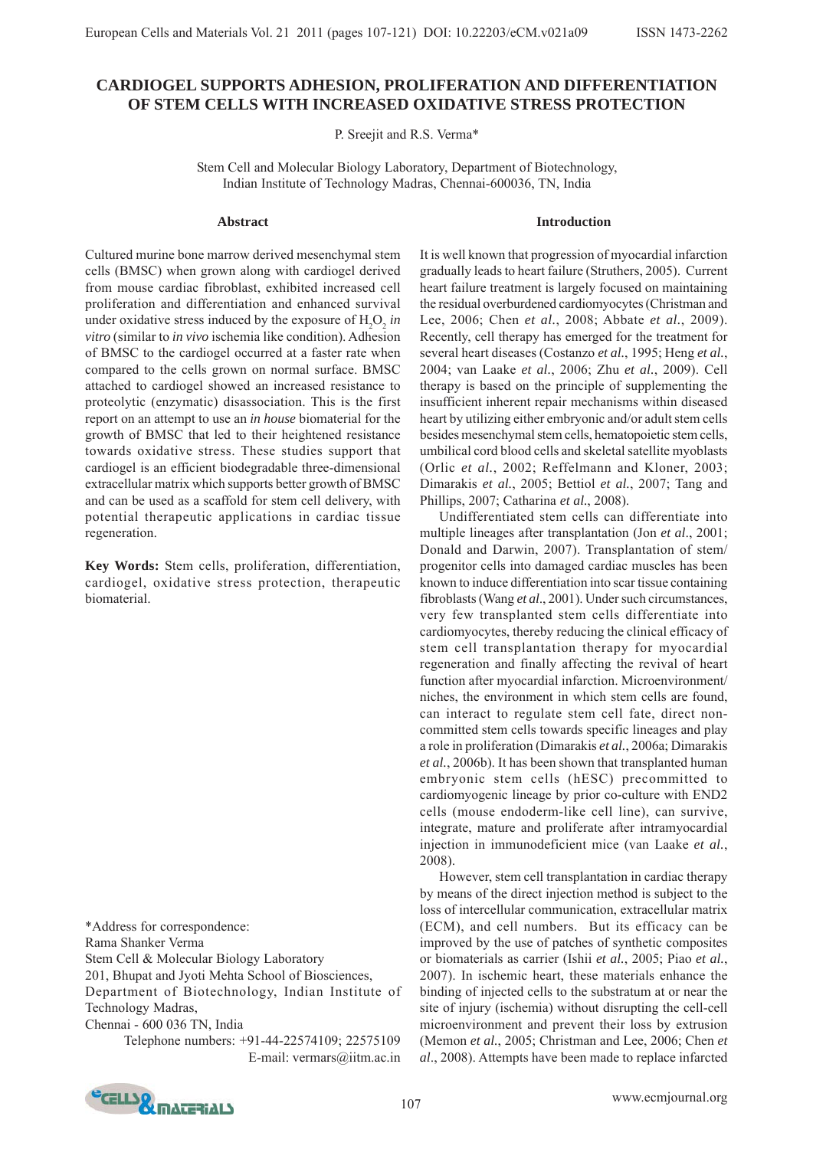# **CARDIOGEL SUPPORTS ADHESION, PROLIFERATION AND DIFFERENTIATION OF STEM CELLS WITH INCREASED OXIDATIVE STRESS PROTECTION**

P. Sreejit and R.S. Verma\*

Stem Cell and Molecular Biology Laboratory, Department of Biotechnology, Indian Institute of Technology Madras, Chennai-600036, TN, India

#### **Abstract**

#### **Introduction**

Cultured murine bone marrow derived mesenchymal stem cells (BMSC) when grown along with cardiogel derived from mouse cardiac fibroblast, exhibited increased cell proliferation and differentiation and enhanced survival under oxidative stress induced by the exposure of  $H_2O_2$  *in vitro* (similar to *in vivo* ischemia like condition). Adhesion of BMSC to the cardiogel occurred at a faster rate when compared to the cells grown on normal surface. BMSC attached to cardiogel showed an increased resistance to proteolytic (enzymatic) disassociation. This is the first report on an attempt to use an *in house* biomaterial for the growth of BMSC that led to their heightened resistance towards oxidative stress. These studies support that cardiogel is an efficient biodegradable three-dimensional extracellular matrix which supports better growth of BMSC and can be used as a scaffold for stem cell delivery, with potential therapeutic applications in cardiac tissue regeneration.

**Key Words:** Stem cells, proliferation, differentiation, cardiogel, oxidative stress protection, therapeutic biomaterial.

\*Address for correspondence:

Rama Shanker Verma

Stem Cell & Molecular Biology Laboratory

201, Bhupat and Jyoti Mehta School of Biosciences,

Department of Biotechnology, Indian Institute of Technology Madras,

Chennai - 600 036 TN, India

Telephone numbers: +91-44-22574109; 22575109 E-mail: vermars@iitm.ac.in It is well known that progression of myocardial infarction gradually leads to heart failure (Struthers, 2005). Current heart failure treatment is largely focused on maintaining the residual overburdened cardiomyocytes (Christman and Lee, 2006; Chen *et al.*, 2008; Abbate *et al.*, 2009). Recently, cell therapy has emerged for the treatment for several heart diseases (Costanzo *et al.*, 1995; Heng *et al.*, 2004; van Laake *et al.*, 2006; Zhu *et al.*, 2009). Cell therapy is based on the principle of supplementing the insufficient inherent repair mechanisms within diseased heart by utilizing either embryonic and/or adult stem cells besides mesenchymal stem cells, hematopoietic stem cells, umbilical cord blood cells and skeletal satellite myoblasts (Orlic *et al.*, 2002; Reffelmann and Kloner, 2003; Dimarakis *et al.*, 2005; Bettiol *et al.*, 2007; Tang and Phillips, 2007; Catharina *et al.*, 2008).

Undifferentiated stem cells can differentiate into multiple lineages after transplantation (Jon *et al*., 2001; Donald and Darwin, 2007). Transplantation of stem/ progenitor cells into damaged cardiac muscles has been known to induce differentiation into scar tissue containing fibroblasts (Wang *et al*., 2001). Under such circumstances, very few transplanted stem cells differentiate into cardiomyocytes, thereby reducing the clinical efficacy of stem cell transplantation therapy for myocardial regeneration and finally affecting the revival of heart function after myocardial infarction. Microenvironment/ niches, the environment in which stem cells are found, can interact to regulate stem cell fate, direct noncommitted stem cells towards specific lineages and play a role in proliferation (Dimarakis *et al.*, 2006a; Dimarakis *et al.*, 2006b). It has been shown that transplanted human embryonic stem cells (hESC) precommitted to cardiomyogenic lineage by prior co-culture with END2 cells (mouse endoderm-like cell line), can survive, integrate, mature and proliferate after intramyocardial injection in immunodeficient mice (van Laake *et al.*, 2008).

However, stem cell transplantation in cardiac therapy by means of the direct injection method is subject to the loss of intercellular communication, extracellular matrix (ECM), and cell numbers. But its efficacy can be improved by the use of patches of synthetic composites or biomaterials as carrier (Ishii *et al.*, 2005; Piao *et al.*, 2007). In ischemic heart, these materials enhance the binding of injected cells to the substratum at or near the site of injury (ischemia) without disrupting the cell-cell microenvironment and prevent their loss by extrusion (Memon *et al.*, 2005; Christman and Lee, 2006; Chen *et al*., 2008). Attempts have been made to replace infarcted

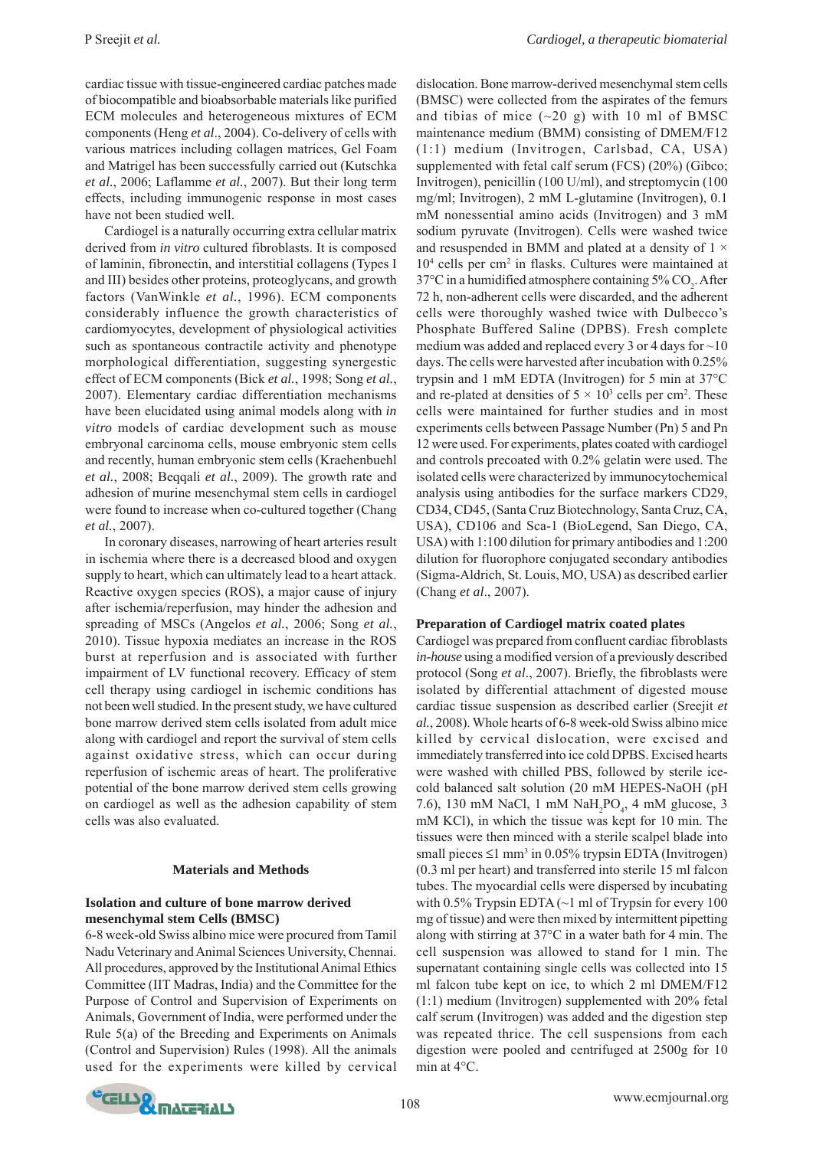cardiac tissue with tissue-engineered cardiac patches made of biocompatible and bioabsorbable materials like purified ECM molecules and heterogeneous mixtures of ECM components (Heng *et al*., 2004). Co-delivery of cells with various matrices including collagen matrices, Gel Foam and Matrigel has been successfully carried out (Kutschka *et al.*, 2006; Laflamme *et al.*, 2007). But their long term effects, including immunogenic response in most cases have not been studied well.

Cardiogel is a naturally occurring extra cellular matrix derived from *in vitro* cultured fibroblasts. It is composed of laminin, fibronectin, and interstitial collagens (Types I and III) besides other proteins, proteoglycans, and growth factors (VanWinkle *et al.*, 1996). ECM components considerably influence the growth characteristics of cardiomyocytes, development of physiological activities such as spontaneous contractile activity and phenotype morphological differentiation, suggesting synergestic effect of ECM components (Bick *et al.*, 1998; Song *et al.*, 2007). Elementary cardiac differentiation mechanisms have been elucidated using animal models along with *in vitro* models of cardiac development such as mouse embryonal carcinoma cells, mouse embryonic stem cells and recently, human embryonic stem cells (Kraehenbuehl *et al.*, 2008; Beqqali *et al.*, 2009). The growth rate and adhesion of murine mesenchymal stem cells in cardiogel were found to increase when co-cultured together (Chang *et al.*, 2007).

In coronary diseases, narrowing of heart arteries result in ischemia where there is a decreased blood and oxygen supply to heart, which can ultimately lead to a heart attack. Reactive oxygen species (ROS), a major cause of injury after ischemia/reperfusion, may hinder the adhesion and spreading of MSCs (Angelos *et al.*, 2006; Song *et al.*, 2010). Tissue hypoxia mediates an increase in the ROS burst at reperfusion and is associated with further impairment of LV functional recovery. Efficacy of stem cell therapy using cardiogel in ischemic conditions has not been well studied. In the present study, we have cultured bone marrow derived stem cells isolated from adult mice along with cardiogel and report the survival of stem cells against oxidative stress, which can occur during reperfusion of ischemic areas of heart. The proliferative potential of the bone marrow derived stem cells growing on cardiogel as well as the adhesion capability of stem cells was also evaluated.

# **Materials and Methods**

# **Isolation and culture of bone marrow derived mesenchymal stem Cells (BMSC)**

6-8 week-old Swiss albino mice were procured from Tamil Nadu Veterinary and Animal Sciences University, Chennai. All procedures, approved by the Institutional Animal Ethics Committee (IIT Madras, India) and the Committee for the Purpose of Control and Supervision of Experiments on Animals, Government of India, were performed under the Rule 5(a) of the Breeding and Experiments on Animals (Control and Supervision) Rules (1998). All the animals used for the experiments were killed by cervical

dislocation. Bone marrow-derived mesenchymal stem cells (BMSC) were collected from the aspirates of the femurs and tibias of mice  $(\sim 20 \text{ g})$  with 10 ml of BMSC maintenance medium (BMM) consisting of DMEM/F12 (1:1) medium (Invitrogen, Carlsbad, CA, USA) supplemented with fetal calf serum (FCS) (20%) (Gibco; Invitrogen), penicillin (100 U/ml), and streptomycin (100 mg/ml; Invitrogen), 2 mM L-glutamine (Invitrogen), 0.1 mM nonessential amino acids (Invitrogen) and 3 mM sodium pyruvate (Invitrogen). Cells were washed twice and resuspended in BMM and plated at a density of  $1 \times$ 104 cells per cm2 in flasks. Cultures were maintained at 37°C in a humidified atmosphere containing 5%  $\mathrm{CO}_2$ . After 72 h, non-adherent cells were discarded, and the adherent cells were thoroughly washed twice with Dulbecco's Phosphate Buffered Saline (DPBS). Fresh complete medium was added and replaced every 3 or 4 days for ~10 days. The cells were harvested after incubation with 0.25% trypsin and 1 mM EDTA (Invitrogen) for 5 min at 37°C and re-plated at densities of  $5 \times 10^3$  cells per cm<sup>2</sup>. These cells were maintained for further studies and in most experiments cells between Passage Number (Pn) 5 and Pn 12 were used. For experiments, plates coated with cardiogel and controls precoated with 0.2% gelatin were used. The isolated cells were characterized by immunocytochemical analysis using antibodies for the surface markers CD29, CD34, CD45, (Santa Cruz Biotechnology, Santa Cruz, CA, USA), CD106 and Sca-1 (BioLegend, San Diego, CA, USA) with 1:100 dilution for primary antibodies and 1:200 dilution for fluorophore conjugated secondary antibodies (Sigma-Aldrich, St. Louis, MO, USA) as described earlier (Chang *et al*., 2007).

# **Preparation of Cardiogel matrix coated plates**

Cardiogel was prepared from confluent cardiac fibroblasts *in-house* using a modified version of a previously described protocol (Song *et al*., 2007). Briefly, the fibroblasts were isolated by differential attachment of digested mouse cardiac tissue suspension as described earlier (Sreejit *et al.*, 2008). Whole hearts of 6-8 week-old Swiss albino mice killed by cervical dislocation, were excised and immediately transferred into ice cold DPBS. Excised hearts were washed with chilled PBS, followed by sterile icecold balanced salt solution (20 mM HEPES-NaOH (pH 7.6), 130 mM NaCl, 1 mM  $\text{NaH}_{2}\text{PO}_{4}$ , 4 mM glucose, 3 mM KCl), in which the tissue was kept for 10 min. The tissues were then minced with a sterile scalpel blade into small pieces  $\leq 1$  mm<sup>3</sup> in 0.05% trypsin EDTA (Invitrogen) (0.3 ml per heart) and transferred into sterile 15 ml falcon tubes. The myocardial cells were dispersed by incubating with  $0.5\%$  Trypsin EDTA ( $\sim$ 1 ml of Trypsin for every 100 mg of tissue) and were then mixed by intermittent pipetting along with stirring at 37°C in a water bath for 4 min. The cell suspension was allowed to stand for 1 min. The supernatant containing single cells was collected into 15 ml falcon tube kept on ice, to which 2 ml DMEM/F12 (1:1) medium (Invitrogen) supplemented with 20% fetal calf serum (Invitrogen) was added and the digestion step was repeated thrice. The cell suspensions from each digestion were pooled and centrifuged at 2500g for 10 min at 4°C.

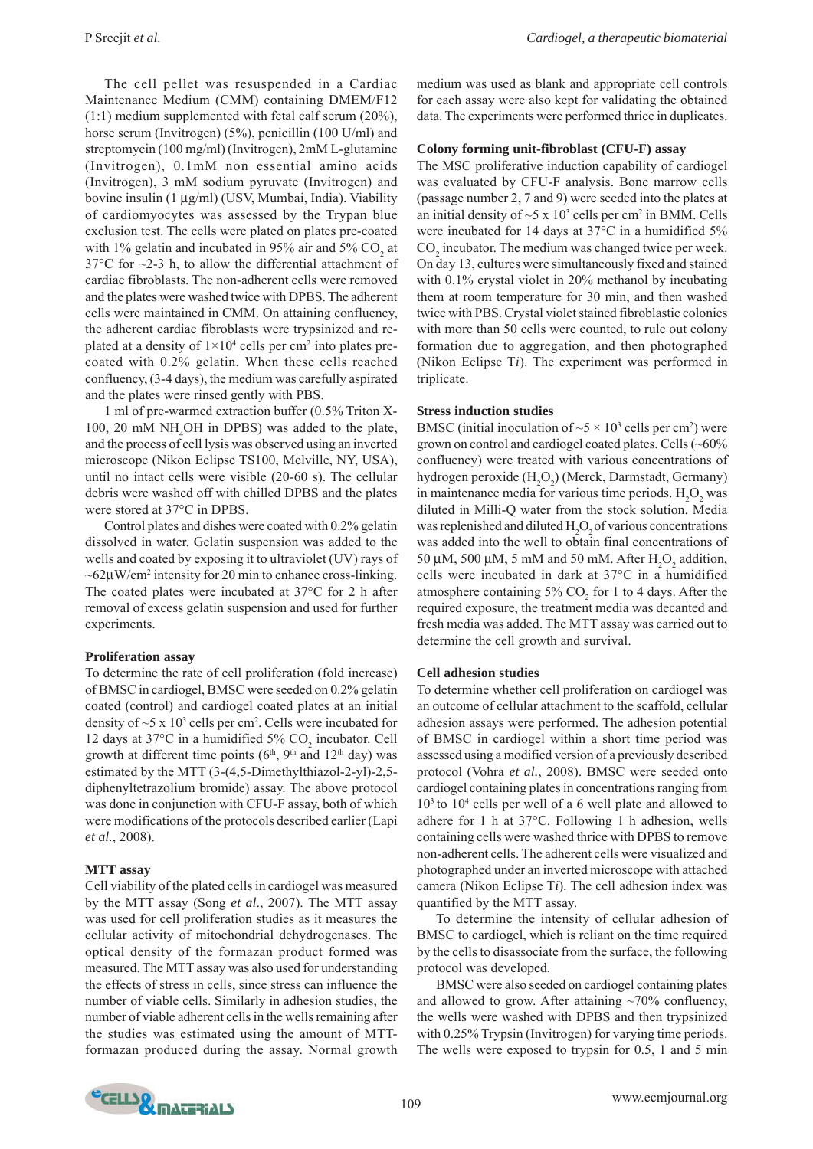The cell pellet was resuspended in a Cardiac Maintenance Medium (CMM) containing DMEM/F12  $(1:1)$  medium supplemented with fetal calf serum  $(20\%)$ , horse serum (Invitrogen) (5%), penicillin (100 U/ml) and streptomycin (100 mg/ml) (Invitrogen), 2mM L-glutamine (Invitrogen), 0.1mM non essential amino acids (Invitrogen), 3 mM sodium pyruvate (Invitrogen) and bovine insulin (1 μg/ml) (USV, Mumbai, India). Viability of cardiomyocytes was assessed by the Trypan blue exclusion test. The cells were plated on plates pre-coated with 1% gelatin and incubated in 95% air and 5%  $CO_2$  at  $37^{\circ}$ C for  $\sim$ 2-3 h, to allow the differential attachment of cardiac fibroblasts. The non-adherent cells were removed and the plates were washed twice with DPBS. The adherent cells were maintained in CMM. On attaining confluency, the adherent cardiac fibroblasts were trypsinized and replated at a density of  $1\times10^4$  cells per cm<sup>2</sup> into plates precoated with 0.2% gelatin. When these cells reached confluency, (3-4 days), the medium was carefully aspirated and the plates were rinsed gently with PBS.

1 ml of pre-warmed extraction buffer (0.5% Triton X-100, 20 mM  $NH<sub>4</sub>OH$  in DPBS) was added to the plate, and the process of cell lysis was observed using an inverted microscope (Nikon Eclipse TS100, Melville, NY, USA), until no intact cells were visible (20-60 s). The cellular debris were washed off with chilled DPBS and the plates were stored at 37°C in DPBS.

Control plates and dishes were coated with 0.2% gelatin dissolved in water. Gelatin suspension was added to the wells and coated by exposing it to ultraviolet (UV) rays of  $\sim$ 62 $\mu$ W/cm<sup>2</sup> intensity for 20 min to enhance cross-linking. The coated plates were incubated at 37°C for 2 h after removal of excess gelatin suspension and used for further experiments.

#### **Proliferation assay**

To determine the rate of cell proliferation (fold increase) of BMSC in cardiogel, BMSC were seeded on 0.2% gelatin coated (control) and cardiogel coated plates at an initial density of  $\sim$ 5 x 10<sup>3</sup> cells per cm<sup>2</sup>. Cells were incubated for 12 days at 37°C in a humidified 5%  $CO_2$  incubator. Cell growth at different time points ( $6<sup>th</sup>$ ,  $9<sup>th</sup>$  and  $12<sup>th</sup>$  day) was estimated by the MTT (3-(4,5-Dimethylthiazol-2-yl)-2,5 diphenyltetrazolium bromide) assay. The above protocol was done in conjunction with CFU-F assay, both of which were modifications of the protocols described earlier (Lapi *et al.*, 2008).

#### **MTT assay**

Cell viability of the plated cells in cardiogel was measured by the MTT assay (Song *et al*., 2007). The MTT assay was used for cell proliferation studies as it measures the cellular activity of mitochondrial dehydrogenases. The optical density of the formazan product formed was measured. The MTT assay was also used for understanding the effects of stress in cells, since stress can influence the number of viable cells. Similarly in adhesion studies, the number of viable adherent cells in the wells remaining after the studies was estimated using the amount of MTTformazan produced during the assay. Normal growth medium was used as blank and appropriate cell controls for each assay were also kept for validating the obtained data. The experiments were performed thrice in duplicates.

#### **Colony forming unit-fibroblast (CFU-F) assay**

The MSC proliferative induction capability of cardiogel was evaluated by CFU-F analysis. Bone marrow cells (passage number 2, 7 and 9) were seeded into the plates at an initial density of  $\sim$ 5 x 10<sup>3</sup> cells per cm<sup>2</sup> in BMM. Cells were incubated for 14 days at 37°C in a humidified 5%  $\mathrm{CO}_2$  incubator. The medium was changed twice per week. On day 13, cultures were simultaneously fixed and stained with 0.1% crystal violet in 20% methanol by incubating them at room temperature for 30 min, and then washed twice with PBS. Crystal violet stained fibroblastic colonies with more than 50 cells were counted, to rule out colony formation due to aggregation, and then photographed (Nikon Eclipse T*i*). The experiment was performed in triplicate.

#### **Stress induction studies**

BMSC (initial inoculation of  $\sim$ 5  $\times$  10<sup>3</sup> cells per cm<sup>2</sup>) were grown on control and cardiogel coated plates. Cells (~60% confluency) were treated with various concentrations of hydrogen peroxide  $(\mathrm{H}_{2}\mathrm{O}_{2})$  (Merck, Darmstadt, Germany) in maintenance media for various time periods.  $H_2O_2$  was diluted in Milli-Q water from the stock solution. Media was replenished and diluted  $H_2O_2$  of various concentrations was added into the well to obtain final concentrations of 50  $\mu$ M, 500  $\mu$ M, 5 mM and 50 mM. After  $H_2O_2$  addition, cells were incubated in dark at 37°C in a humidified atmosphere containing  $5\%$  CO<sub>2</sub> for 1 to 4 days. After the required exposure, the treatment media was decanted and fresh media was added. The MTT assay was carried out to determine the cell growth and survival.

#### **Cell adhesion studies**

To determine whether cell proliferation on cardiogel was an outcome of cellular attachment to the scaffold, cellular adhesion assays were performed. The adhesion potential of BMSC in cardiogel within a short time period was assessed using a modified version of a previously described protocol (Vohra *et al.*, 2008). BMSC were seeded onto cardiogel containing plates in concentrations ranging from 103 to 104 cells per well of a 6 well plate and allowed to adhere for 1 h at 37°C. Following 1 h adhesion, wells containing cells were washed thrice with DPBS to remove non-adherent cells. The adherent cells were visualized and photographed under an inverted microscope with attached camera (Nikon Eclipse T*i*). The cell adhesion index was quantified by the MTT assay.

To determine the intensity of cellular adhesion of BMSC to cardiogel, which is reliant on the time required by the cells to disassociate from the surface, the following protocol was developed.

BMSC were also seeded on cardiogel containing plates and allowed to grow. After attaining  $\sim$ 70% confluency, the wells were washed with DPBS and then trypsinized with 0.25% Trypsin (Invitrogen) for varying time periods. The wells were exposed to trypsin for 0.5, 1 and 5 min

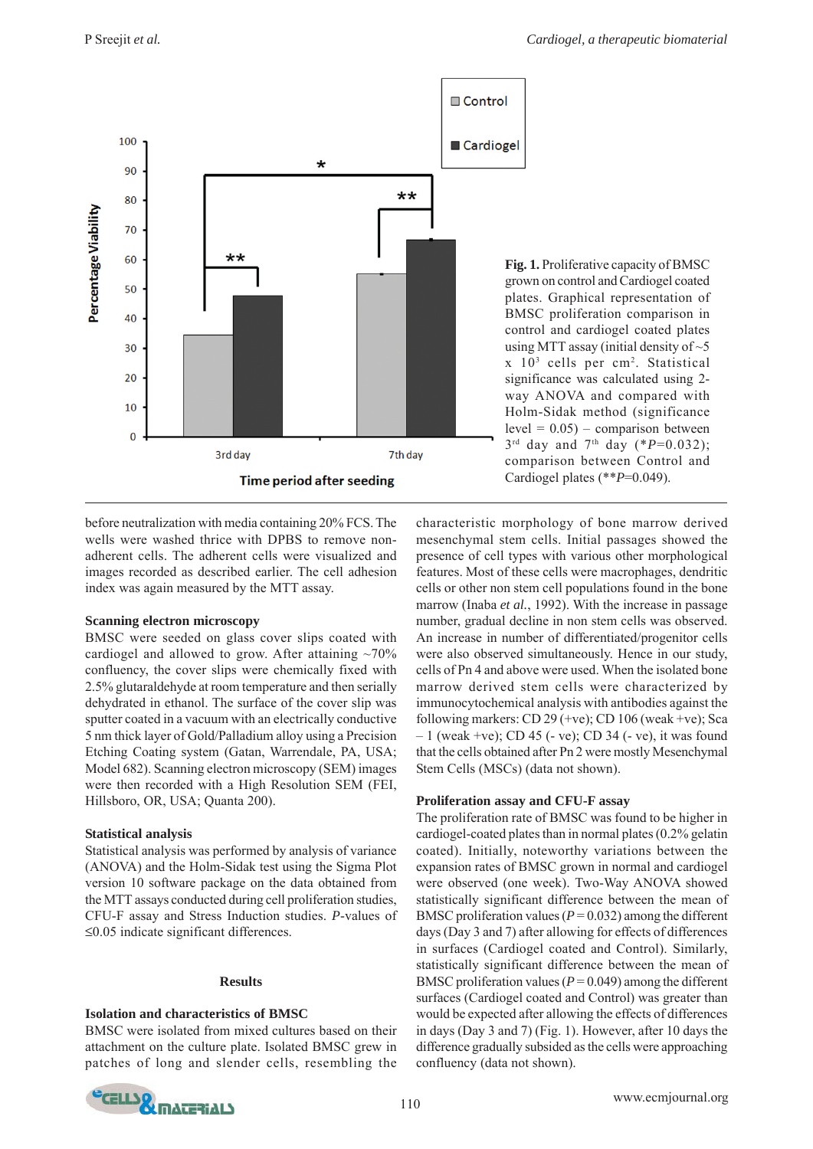

**Fig. 1.** Proliferative capacity of BMSC grown on control and Cardiogel coated plates. Graphical representation of BMSC proliferation comparison in control and cardiogel coated plates using MTT assay (initial density of  $\sim$  5 x 103 cells per cm2. Statistical significance was calculated using 2 way ANOVA and compared with Holm-Sidak method (significance  $level = 0.05$  – comparison between 3rd day and 7th day (\**P*=0.032); comparison between Control and Cardiogel plates (\*\**P*=0.049).

before neutralization with media containing 20% FCS. The wells were washed thrice with DPBS to remove nonadherent cells. The adherent cells were visualized and images recorded as described earlier. The cell adhesion index was again measured by the MTT assay.

# **Scanning electron microscopy**

BMSC were seeded on glass cover slips coated with cardiogel and allowed to grow. After attaining  $\sim70\%$ confluency, the cover slips were chemically fixed with 2.5% glutaraldehyde at room temperature and then serially dehydrated in ethanol. The surface of the cover slip was sputter coated in a vacuum with an electrically conductive 5 nm thick layer of Gold/Palladium alloy using a Precision Etching Coating system (Gatan, Warrendale, PA, USA; Model 682). Scanning electron microscopy (SEM) images were then recorded with a High Resolution SEM (FEI, Hillsboro, OR, USA; Quanta 200).

# **Statistical analysis**

Statistical analysis was performed by analysis of variance (ANOVA) and the Holm-Sidak test using the Sigma Plot version 10 software package on the data obtained from the MTT assays conducted during cell proliferation studies, CFU-F assay and Stress Induction studies. *P*-values of ≤0.05 indicate significant differences.

# **Results**

# **Isolation and characteristics of BMSC**

BMSC were isolated from mixed cultures based on their attachment on the culture plate. Isolated BMSC grew in patches of long and slender cells, resembling the characteristic morphology of bone marrow derived mesenchymal stem cells. Initial passages showed the presence of cell types with various other morphological features. Most of these cells were macrophages, dendritic cells or other non stem cell populations found in the bone marrow (Inaba *et al.*, 1992). With the increase in passage number, gradual decline in non stem cells was observed. An increase in number of differentiated/progenitor cells were also observed simultaneously. Hence in our study, cells of Pn 4 and above were used. When the isolated bone marrow derived stem cells were characterized by immunocytochemical analysis with antibodies against the following markers: CD 29 (+ve); CD 106 (weak +ve); Sca – 1 (weak +ve); CD 45 (- ve); CD 34 (- ve), it was found that the cells obtained after Pn 2 were mostly Mesenchymal Stem Cells (MSCs) (data not shown).

# **Proliferation assay and CFU-F assay**

The proliferation rate of BMSC was found to be higher in cardiogel-coated plates than in normal plates (0.2% gelatin coated). Initially, noteworthy variations between the expansion rates of BMSC grown in normal and cardiogel were observed (one week). Two-Way ANOVA showed statistically significant difference between the mean of BMSC proliferation values  $(P = 0.032)$  among the different days (Day 3 and 7) after allowing for effects of differences in surfaces (Cardiogel coated and Control). Similarly, statistically significant difference between the mean of BMSC proliferation values  $(P = 0.049)$  among the different surfaces (Cardiogel coated and Control) was greater than would be expected after allowing the effects of differences in days (Day 3 and 7) (Fig. 1). However, after 10 days the difference gradually subsided as the cells were approaching confluency (data not shown).

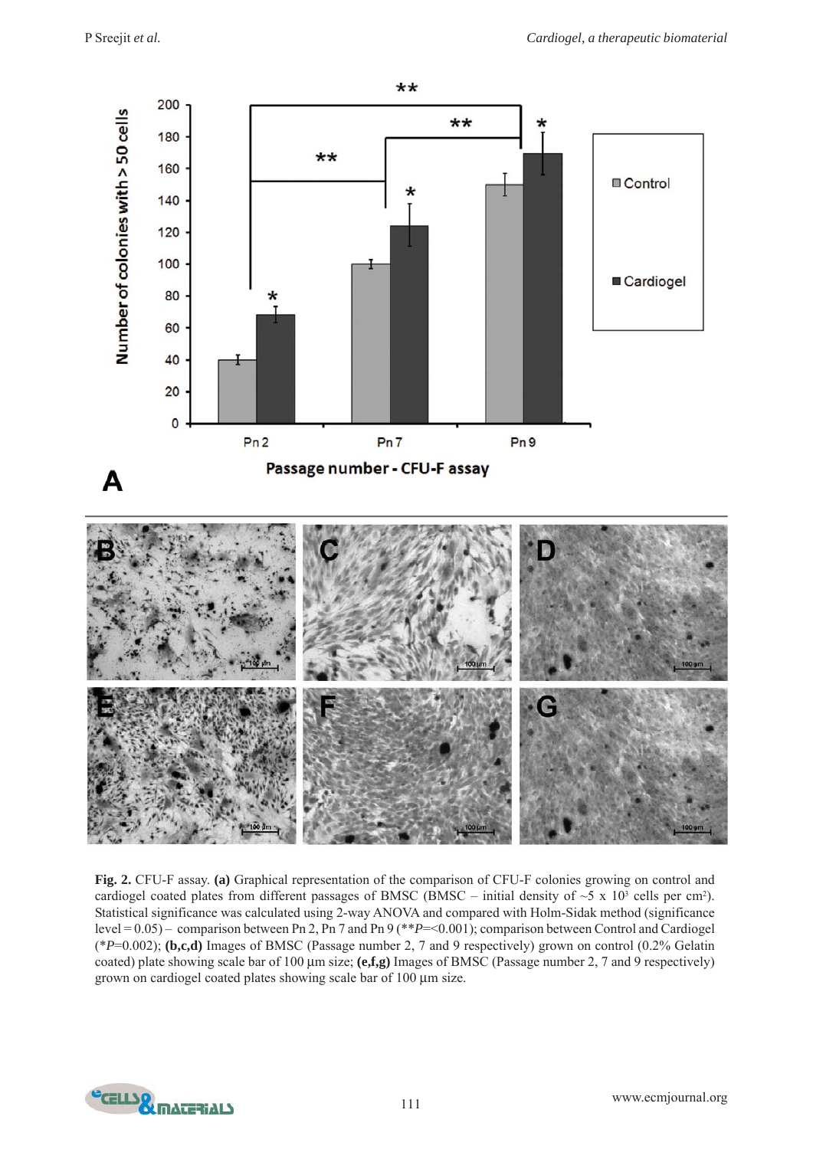

**Fig. 2.** CFU-F assay. **(a)** Graphical representation of the comparison of CFU-F colonies growing on control and cardiogel coated plates from different passages of BMSC (BMSC – initial density of  $\sim$ 5 x 10<sup>3</sup> cells per cm<sup>2</sup>). Statistical significance was calculated using 2-way ANOVA and compared with Holm-Sidak method (significance level = 0.05) – comparison between Pn 2, Pn 7 and Pn 9 (\*\**P*=<0.001); comparison between Control and Cardiogel (\**P*=0.002); **(b,c,d)** Images of BMSC (Passage number 2, 7 and 9 respectively) grown on control (0.2% Gelatin coated) plate showing scale bar of 100 μm size; **(e,f,g)** Images of BMSC (Passage number 2, 7 and 9 respectively) grown on cardiogel coated plates showing scale bar of 100 μm size.

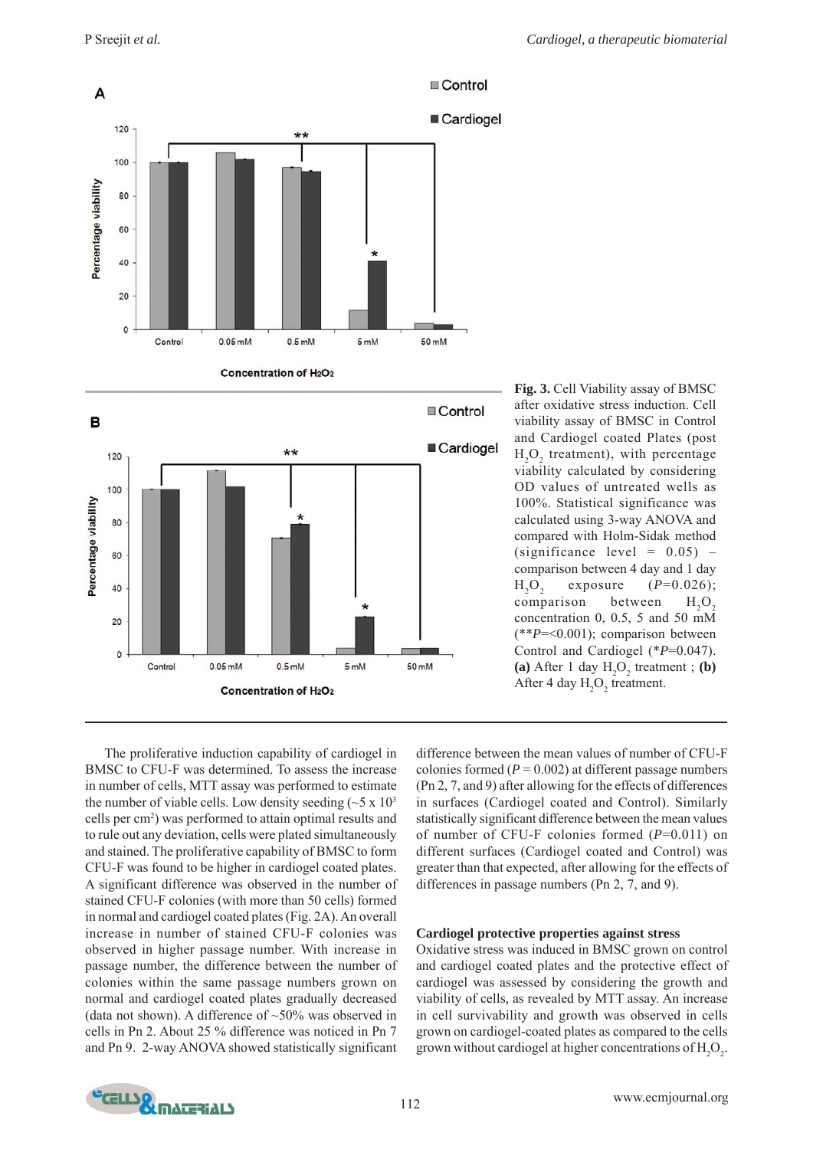



**Fig. 3.** Cell Viability assay of BMSC after oxidative stress induction. Cell viability assay of BMSC in Control and Cardiogel coated Plates (post  $H_2O_2$  treatment), with percentage viability calculated by considering OD values of untreated wells as 100%. Statistical significance was calculated using 3-way ANOVA and compared with Holm-Sidak method (significance level =  $0.05$ ) – comparison between 4 day and 1 day  $H_2O_2$ exposure  $(P=0.026)$ ; comparison between  $H<sub>2</sub>O<sub>2</sub>$ concentration 0, 0.5, 5 and 50 mM (\*\**P*=<0.001); comparison between Control and Cardiogel (\**P*=0.047). (a) After 1 day  $H_2O_2$  treatment; (b) After 4 day  $H_2O_2$  treatment.

The proliferative induction capability of cardiogel in BMSC to CFU-F was determined. To assess the increase in number of cells, MTT assay was performed to estimate the number of viable cells. Low density seeding  $({\sim}5 \times 10^3)$ cells per cm<sup>2</sup>) was performed to attain optimal results and to rule out any deviation, cells were plated simultaneously and stained. The proliferative capability of BMSC to form CFU-F was found to be higher in cardiogel coated plates. A significant difference was observed in the number of stained CFU-F colonies (with more than 50 cells) formed in normal and cardiogel coated plates (Fig. 2A). An overall increase in number of stained CFU-F colonies was observed in higher passage number. With increase in passage number, the difference between the number of colonies within the same passage numbers grown on normal and cardiogel coated plates gradually decreased (data not shown). A difference of  $~50\%$  was observed in cells in Pn 2. About 25 % difference was noticed in Pn 7 and Pn 9. 2-way ANOVA showed statistically significant difference between the mean values of number of CFU-F colonies formed  $(P = 0.002)$  at different passage numbers (Pn 2, 7, and 9) after allowing for the effects of differences in surfaces (Cardiogel coated and Control). Similarly statistically significant difference between the mean values of number of CFU-F colonies formed (*P*=0.011) on different surfaces (Cardiogel coated and Control) was greater than that expected, after allowing for the effects of differences in passage numbers (Pn 2, 7, and 9).

#### **Cardiogel protective properties against stress**

Oxidative stress was induced in BMSC grown on control and cardiogel coated plates and the protective effect of cardiogel was assessed by considering the growth and viability of cells, as revealed by MTT assay. An increase in cell survivability and growth was observed in cells grown on cardiogel-coated plates as compared to the cells grown without cardiogel at higher concentrations of  $H_2O_2$ .

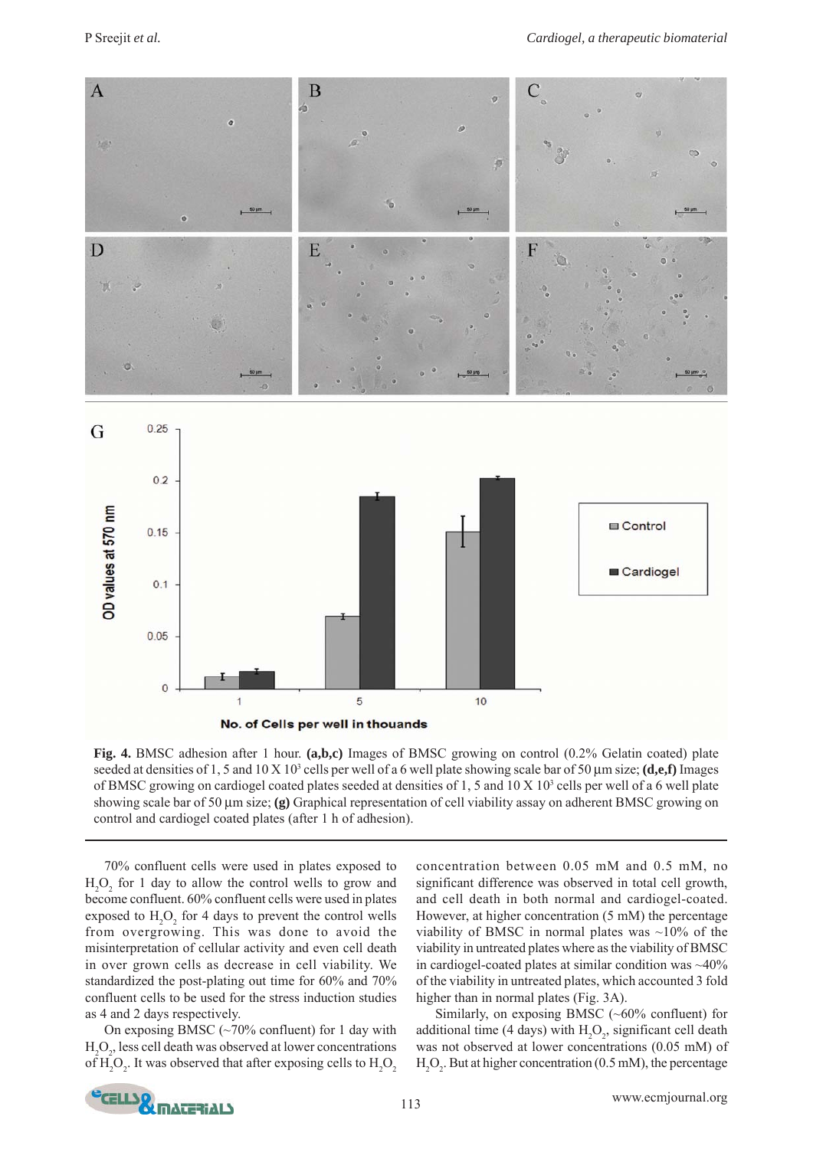

**Fig. 4.** BMSC adhesion after 1 hour. **(a,b,c)** Images of BMSC growing on control (0.2% Gelatin coated) plate seeded at densities of 1, 5 and 10 X 10<sup>3</sup> cells per well of a 6 well plate showing scale bar of 50  $\mu$ m size; (**d,e,f**) Images of BMSC growing on cardiogel coated plates seeded at densities of 1, 5 and  $10 \times 10^3$  cells per well of a 6 well plate showing scale bar of 50 μm size; **(g)** Graphical representation of cell viability assay on adherent BMSC growing on control and cardiogel coated plates (after 1 h of adhesion).

70% confluent cells were used in plates exposed to  $H_2O_2$  for 1 day to allow the control wells to grow and become confluent. 60% confluent cells were used in plates exposed to  $H_2O_2$  for 4 days to prevent the control wells from overgrowing. This was done to avoid the misinterpretation of cellular activity and even cell death in over grown cells as decrease in cell viability. We standardized the post-plating out time for 60% and 70% confluent cells to be used for the stress induction studies as 4 and 2 days respectively.

On exposing BMSC  $(\sim 70\%$  confluent) for 1 day with  $\mathrm{H}_{2}\mathrm{O}_{2}$ , less cell death was observed at lower concentrations of  $H_2O_2$ . It was observed that after exposing cells to  $H_2O_2$ 

concentration between 0.05 mM and 0.5 mM, no significant difference was observed in total cell growth, and cell death in both normal and cardiogel-coated. However, at higher concentration (5 mM) the percentage viability of BMSC in normal plates was  $~10\%$  of the viability in untreated plates where as the viability of BMSC in cardiogel-coated plates at similar condition was  $\sim$ 40% of the viability in untreated plates, which accounted 3 fold higher than in normal plates (Fig. 3A).

Similarly, on exposing BMSC (~60% confluent) for additional time (4 days) with  $H_2O_2$ , significant cell death was not observed at lower concentrations (0.05 mM) of  $H_2O_2$ . But at higher concentration (0.5 mM), the percentage

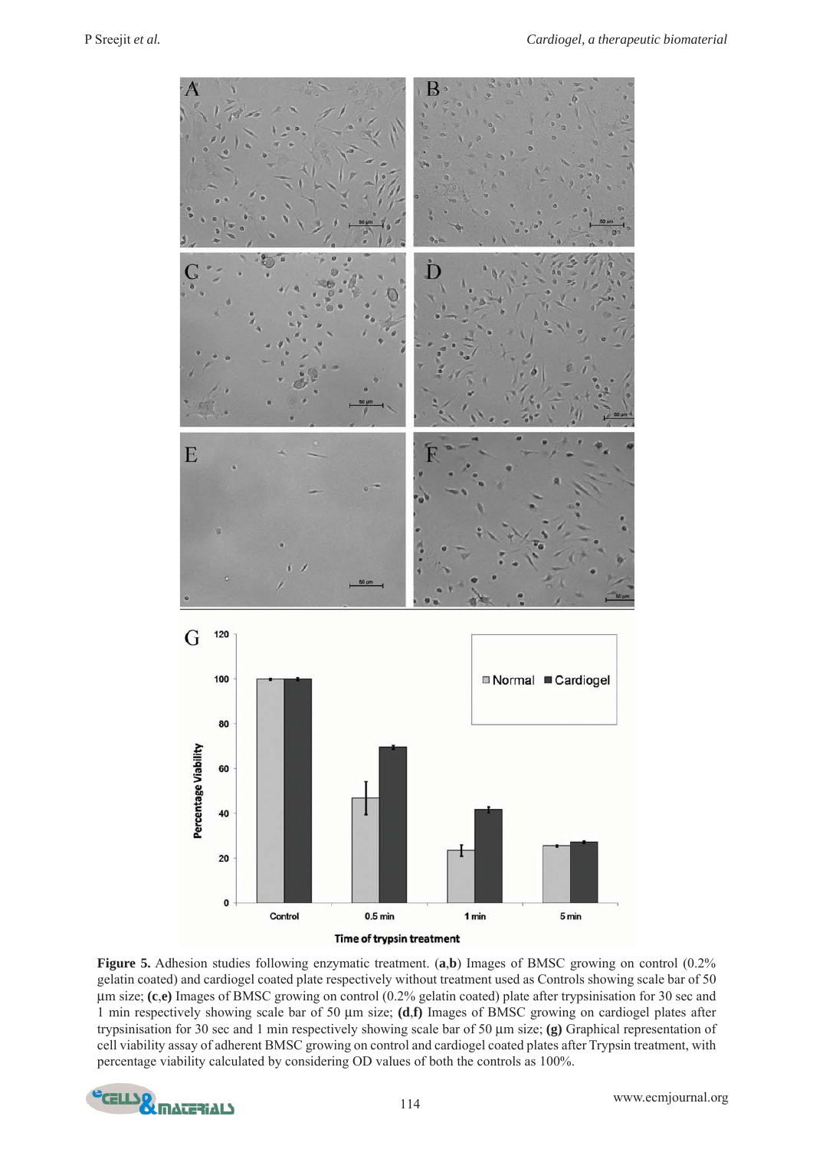

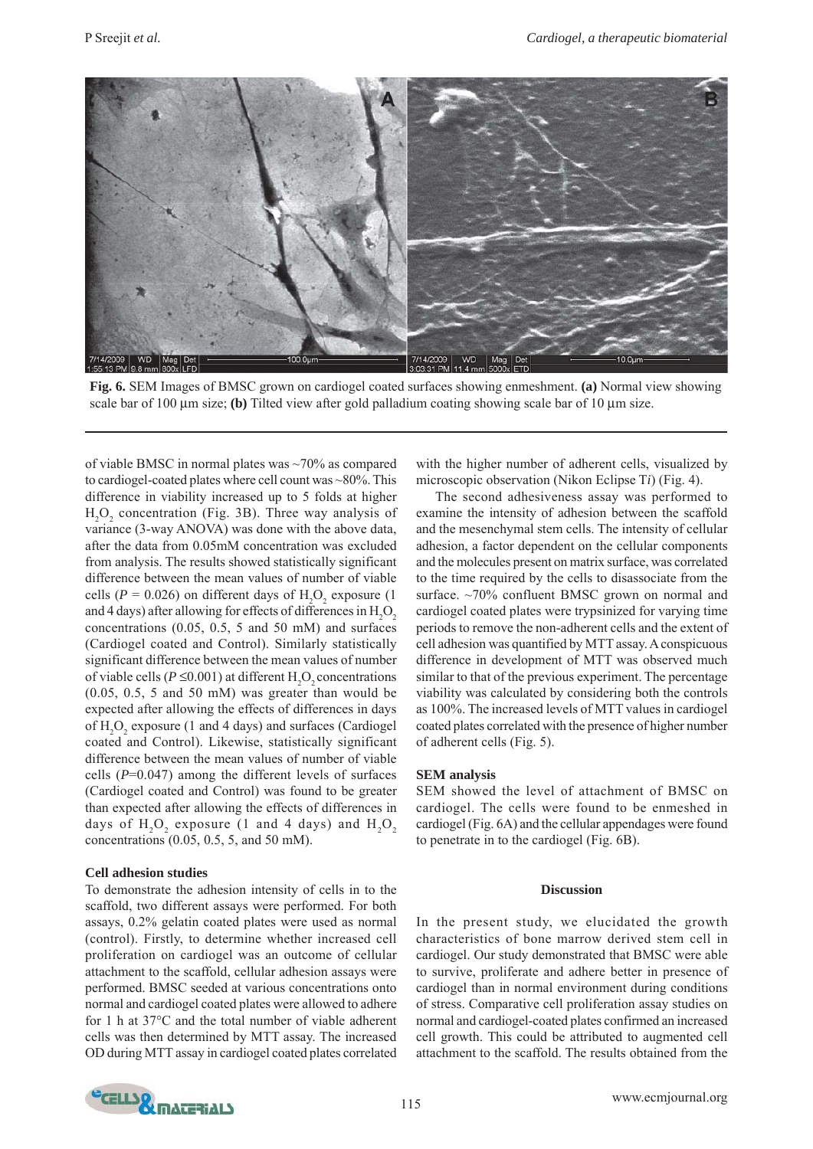

**Fig. 6.** SEM Images of BMSC grown on cardiogel coated surfaces showing enmeshment. **(a)** Normal view showing scale bar of 100 μm size; **(b)** Tilted view after gold palladium coating showing scale bar of 10 μm size.

of viable BMSC in normal plates was ~70% as compared to cardiogel-coated plates where cell count was ~80%. This difference in viability increased up to 5 folds at higher  $H_2O_2$  concentration (Fig. 3B). Three way analysis of variance (3-way ANOVA) was done with the above data, after the data from 0.05mM concentration was excluded from analysis. The results showed statistically significant difference between the mean values of number of viable cells ( $P = 0.026$ ) on different days of  $H_2O_2$  exposure (1) and 4 days) after allowing for effects of differences in  $\rm{H}_{2}\rm{O}_{2}$ concentrations (0.05, 0.5, 5 and 50 mM) and surfaces (Cardiogel coated and Control). Similarly statistically significant difference between the mean values of number of viable cells ( $P \le 0.001$ ) at different  $H_2O_2$  concentrations (0.05, 0.5, 5 and 50 mM) was greater than would be expected after allowing the effects of differences in days of  $H_2O_2$  exposure (1 and 4 days) and surfaces (Cardiogel coated and Control). Likewise, statistically significant difference between the mean values of number of viable cells (*P*=0.047) among the different levels of surfaces (Cardiogel coated and Control) was found to be greater than expected after allowing the effects of differences in days of  $\mathrm{H}_{2}\mathrm{O}_{2}$  exposure (1 and 4 days) and  $\mathrm{H}_{2}\mathrm{O}_{2}$ concentrations (0.05, 0.5, 5, and 50 mM).

# **Cell adhesion studies**

To demonstrate the adhesion intensity of cells in to the scaffold, two different assays were performed. For both assays, 0.2% gelatin coated plates were used as normal (control). Firstly, to determine whether increased cell proliferation on cardiogel was an outcome of cellular attachment to the scaffold, cellular adhesion assays were performed. BMSC seeded at various concentrations onto normal and cardiogel coated plates were allowed to adhere for 1 h at 37°C and the total number of viable adherent cells was then determined by MTT assay. The increased OD during MTT assay in cardiogel coated plates correlated

with the higher number of adherent cells, visualized by microscopic observation (Nikon Eclipse T*i*) (Fig. 4).

The second adhesiveness assay was performed to examine the intensity of adhesion between the scaffold and the mesenchymal stem cells. The intensity of cellular adhesion, a factor dependent on the cellular components and the molecules present on matrix surface, was correlated to the time required by the cells to disassociate from the surface. ~70% confluent BMSC grown on normal and cardiogel coated plates were trypsinized for varying time periods to remove the non-adherent cells and the extent of cell adhesion was quantified by MTT assay. A conspicuous difference in development of MTT was observed much similar to that of the previous experiment. The percentage viability was calculated by considering both the controls as 100%. The increased levels of MTT values in cardiogel coated plates correlated with the presence of higher number of adherent cells (Fig. 5).

#### **SEM analysis**

SEM showed the level of attachment of BMSC on cardiogel. The cells were found to be enmeshed in cardiogel (Fig. 6A) and the cellular appendages were found to penetrate in to the cardiogel (Fig. 6B).

#### **Discussion**

In the present study, we elucidated the growth characteristics of bone marrow derived stem cell in cardiogel. Our study demonstrated that BMSC were able to survive, proliferate and adhere better in presence of cardiogel than in normal environment during conditions of stress. Comparative cell proliferation assay studies on normal and cardiogel-coated plates confirmed an increased cell growth. This could be attributed to augmented cell attachment to the scaffold. The results obtained from the

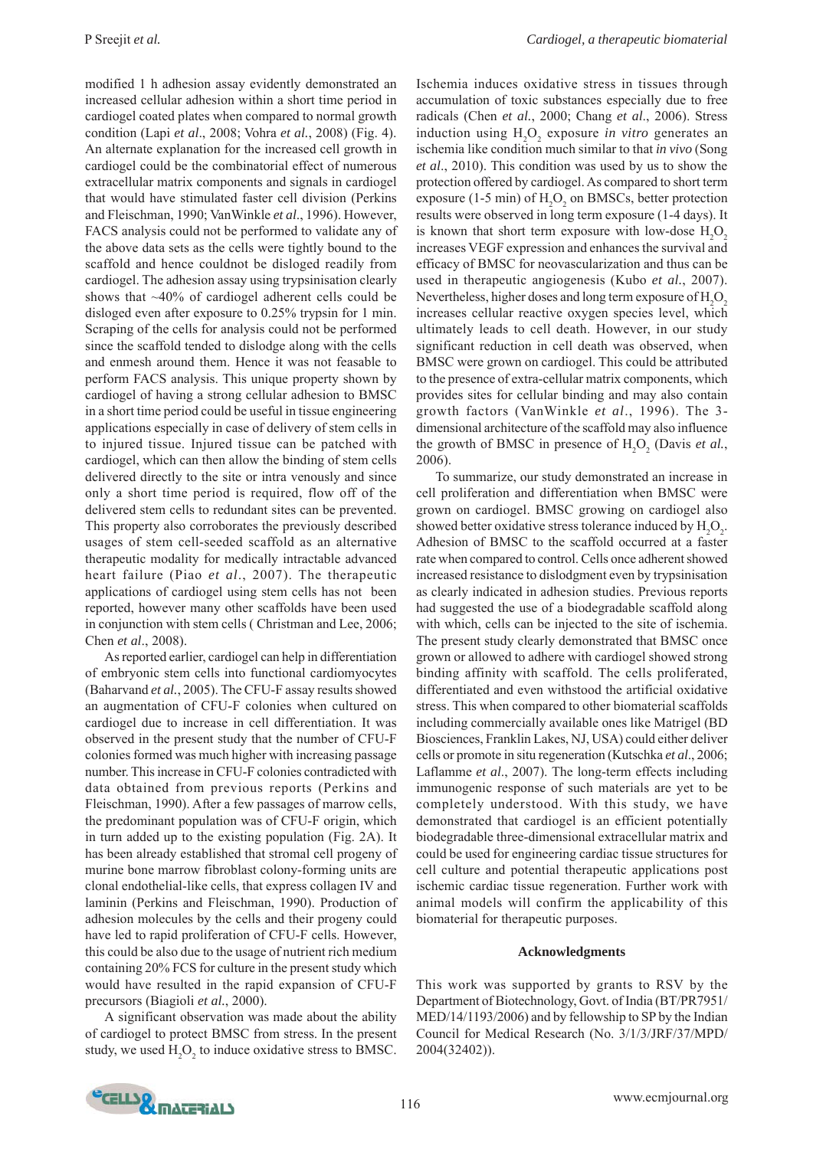modified 1 h adhesion assay evidently demonstrated an increased cellular adhesion within a short time period in cardiogel coated plates when compared to normal growth condition (Lapi *et al*., 2008; Vohra *et al.*, 2008) (Fig. 4). An alternate explanation for the increased cell growth in cardiogel could be the combinatorial effect of numerous extracellular matrix components and signals in cardiogel that would have stimulated faster cell division (Perkins and Fleischman, 1990; VanWinkle *et al*., 1996). However, FACS analysis could not be performed to validate any of the above data sets as the cells were tightly bound to the scaffold and hence couldnot be disloged readily from cardiogel. The adhesion assay using trypsinisation clearly shows that ~40% of cardiogel adherent cells could be disloged even after exposure to 0.25% trypsin for 1 min. Scraping of the cells for analysis could not be performed since the scaffold tended to dislodge along with the cells and enmesh around them. Hence it was not feasable to perform FACS analysis. This unique property shown by cardiogel of having a strong cellular adhesion to BMSC in a short time period could be useful in tissue engineering applications especially in case of delivery of stem cells in to injured tissue. Injured tissue can be patched with cardiogel, which can then allow the binding of stem cells delivered directly to the site or intra venously and since only a short time period is required, flow off of the delivered stem cells to redundant sites can be prevented. This property also corroborates the previously described usages of stem cell-seeded scaffold as an alternative therapeutic modality for medically intractable advanced heart failure (Piao *et al*., 2007). The therapeutic applications of cardiogel using stem cells has not been reported, however many other scaffolds have been used in conjunction with stem cells ( Christman and Lee, 2006; Chen *et al*., 2008).

As reported earlier, cardiogel can help in differentiation of embryonic stem cells into functional cardiomyocytes (Baharvand *et al.*, 2005). The CFU-F assay results showed an augmentation of CFU-F colonies when cultured on cardiogel due to increase in cell differentiation. It was observed in the present study that the number of CFU-F colonies formed was much higher with increasing passage number. This increase in CFU-F colonies contradicted with data obtained from previous reports (Perkins and Fleischman, 1990). After a few passages of marrow cells, the predominant population was of CFU-F origin, which in turn added up to the existing population (Fig. 2A). It has been already established that stromal cell progeny of murine bone marrow fibroblast colony-forming units are clonal endothelial-like cells, that express collagen IV and laminin (Perkins and Fleischman, 1990). Production of adhesion molecules by the cells and their progeny could have led to rapid proliferation of CFU-F cells. However, this could be also due to the usage of nutrient rich medium containing 20% FCS for culture in the present study which would have resulted in the rapid expansion of CFU-F precursors (Biagioli *et al.*, 2000).

A significant observation was made about the ability of cardiogel to protect BMSC from stress. In the present study, we used  $H_2O_2$  to induce oxidative stress to BMSC.

Ischemia induces oxidative stress in tissues through accumulation of toxic substances especially due to free radicals (Chen *et al.*, 2000; Chang *et al*., 2006). Stress induction using  $H_2O_2$  exposure *in vitro* generates an ischemia like condition much similar to that *in vivo* (Song *et al*., 2010). This condition was used by us to show the protection offered by cardiogel. As compared to short term exposure (1-5 min) of  $H_2O_2$  on BMSCs, better protection results were observed in long term exposure (1-4 days). It is known that short term exposure with low-dose  $H_2O_2$ increases VEGF expression and enhances the survival and efficacy of BMSC for neovascularization and thus can be used in therapeutic angiogenesis (Kubo *et al.*, 2007). Nevertheless, higher doses and long term exposure of  $\mathrm{H}_{2}\mathrm{O}_{2}$ increases cellular reactive oxygen species level, which ultimately leads to cell death. However, in our study significant reduction in cell death was observed, when BMSC were grown on cardiogel. This could be attributed to the presence of extra-cellular matrix components, which provides sites for cellular binding and may also contain growth factors (VanWinkle *et al*., 1996). The 3 dimensional architecture of the scaffold may also influence the growth of BMSC in presence of  $H_2O_2$  (Davis *et al.*, 2006).

To summarize, our study demonstrated an increase in cell proliferation and differentiation when BMSC were grown on cardiogel. BMSC growing on cardiogel also showed better oxidative stress tolerance induced by  $H_2O_2$ . Adhesion of BMSC to the scaffold occurred at a faster rate when compared to control. Cells once adherent showed increased resistance to dislodgment even by trypsinisation as clearly indicated in adhesion studies. Previous reports had suggested the use of a biodegradable scaffold along with which, cells can be injected to the site of ischemia. The present study clearly demonstrated that BMSC once grown or allowed to adhere with cardiogel showed strong binding affinity with scaffold. The cells proliferated, differentiated and even withstood the artificial oxidative stress. This when compared to other biomaterial scaffolds including commercially available ones like Matrigel (BD Biosciences, Franklin Lakes, NJ, USA) could either deliver cells or promote in situ regeneration (Kutschka *et al*., 2006; Laflamme *et al*., 2007). The long-term effects including immunogenic response of such materials are yet to be completely understood. With this study, we have demonstrated that cardiogel is an efficient potentially biodegradable three-dimensional extracellular matrix and could be used for engineering cardiac tissue structures for cell culture and potential therapeutic applications post ischemic cardiac tissue regeneration. Further work with animal models will confirm the applicability of this biomaterial for therapeutic purposes.

#### **Acknowledgments**

This work was supported by grants to RSV by the Department of Biotechnology, Govt. of India (BT/PR7951/ MED/14/1193/2006) and by fellowship to SP by the Indian Council for Medical Research (No. 3/1/3/JRF/37/MPD/ 2004(32402)).

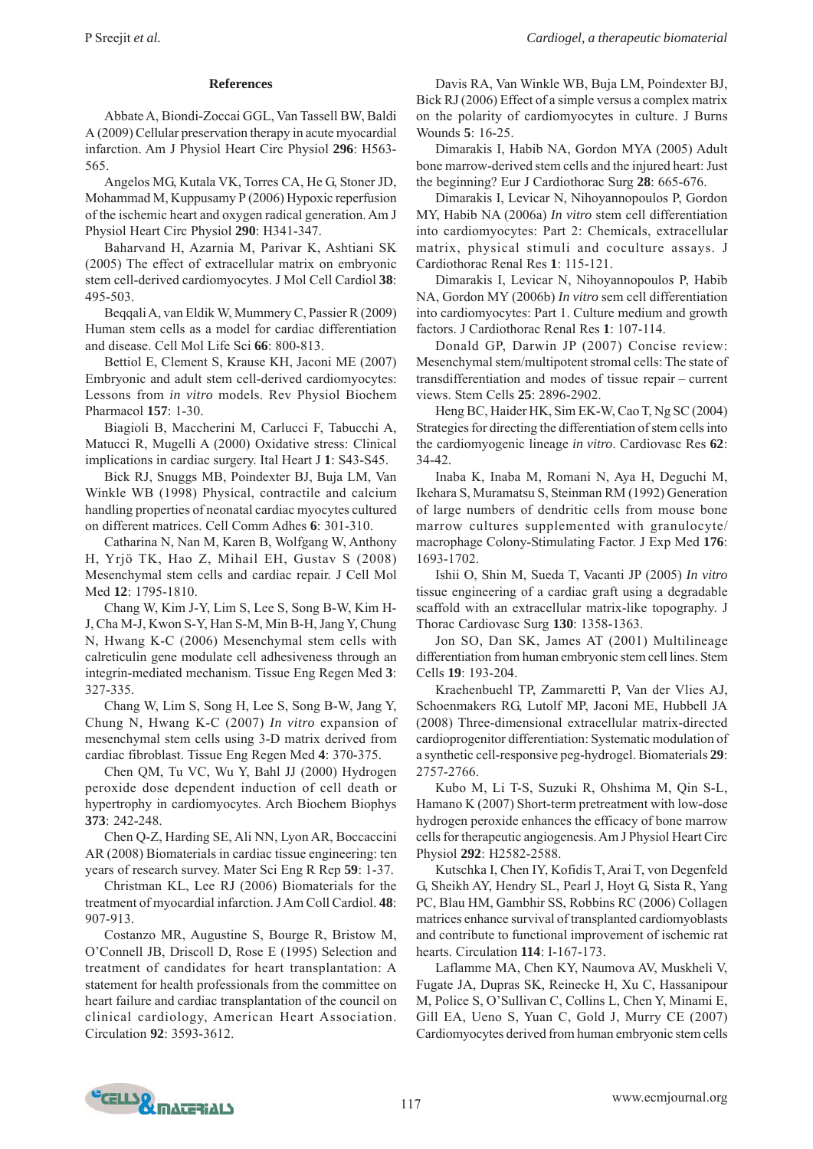# **References**

Abbate A, Biondi-Zoccai GGL, Van Tassell BW, Baldi A (2009) Cellular preservation therapy in acute myocardial infarction. Am J Physiol Heart Circ Physiol **296**: H563- 565.

Angelos MG, Kutala VK, Torres CA, He G, Stoner JD, Mohammad M, Kuppusamy P (2006) Hypoxic reperfusion of the ischemic heart and oxygen radical generation. Am J Physiol Heart Circ Physiol **290**: H341-347.

Baharvand H, Azarnia M, Parivar K, Ashtiani SK (2005) The effect of extracellular matrix on embryonic stem cell-derived cardiomyocytes. J Mol Cell Cardiol **38**: 495-503.

Beqqali A, van Eldik W, Mummery C, Passier R (2009) Human stem cells as a model for cardiac differentiation and disease. Cell Mol Life Sci **66**: 800-813.

Bettiol E, Clement S, Krause KH, Jaconi ME (2007) Embryonic and adult stem cell-derived cardiomyocytes: Lessons from *in vitro* models. Rev Physiol Biochem Pharmacol **157**: 1-30.

Biagioli B, Maccherini M, Carlucci F, Tabucchi A, Matucci R, Mugelli A (2000) Oxidative stress: Clinical implications in cardiac surgery. Ital Heart J **1**: S43-S45.

Bick RJ, Snuggs MB, Poindexter BJ, Buja LM, Van Winkle WB (1998) Physical, contractile and calcium handling properties of neonatal cardiac myocytes cultured on different matrices. Cell Comm Adhes **6**: 301-310.

Catharina N, Nan M, Karen B, Wolfgang W, Anthony H, Yrjö TK, Hao Z, Mihail EH, Gustav S (2008) Mesenchymal stem cells and cardiac repair. J Cell Mol Med **12**: 1795-1810.

Chang W, Kim J-Y, Lim S, Lee S, Song B-W, Kim H-J, Cha M-J, Kwon S-Y, Han S-M, Min B-H, Jang Y, Chung N, Hwang K-C (2006) Mesenchymal stem cells with calreticulin gene modulate cell adhesiveness through an integrin-mediated mechanism. Tissue Eng Regen Med **3**: 327-335.

Chang W, Lim S, Song H, Lee S, Song B-W, Jang Y, Chung N, Hwang K-C (2007) *In vitro* expansion of mesenchymal stem cells using 3-D matrix derived from cardiac fibroblast. Tissue Eng Regen Med **4**: 370-375.

Chen QM, Tu VC, Wu Y, Bahl JJ (2000) Hydrogen peroxide dose dependent induction of cell death or hypertrophy in cardiomyocytes. Arch Biochem Biophys **373**: 242-248.

Chen Q-Z, Harding SE, Ali NN, Lyon AR, Boccaccini AR (2008) Biomaterials in cardiac tissue engineering: ten years of research survey. Mater Sci Eng R Rep **59**: 1-37.

Christman KL, Lee RJ (2006) Biomaterials for the treatment of myocardial infarction. J Am Coll Cardiol. **48**: 907-913.

Costanzo MR, Augustine S, Bourge R, Bristow M, O'Connell JB, Driscoll D, Rose E (1995) Selection and treatment of candidates for heart transplantation: A statement for health professionals from the committee on heart failure and cardiac transplantation of the council on clinical cardiology, American Heart Association. Circulation **92**: 3593-3612.

Davis RA, Van Winkle WB, Buja LM, Poindexter BJ, Bick RJ (2006) Effect of a simple versus a complex matrix on the polarity of cardiomyocytes in culture. J Burns Wounds **5**: 16-25.

Dimarakis I, Habib NA, Gordon MYA (2005) Adult bone marrow-derived stem cells and the injured heart: Just the beginning? Eur J Cardiothorac Surg **28**: 665-676.

Dimarakis I, Levicar N, Nihoyannopoulos P, Gordon MY, Habib NA (2006a) *In vitro* stem cell differentiation into cardiomyocytes: Part 2: Chemicals, extracellular matrix, physical stimuli and coculture assays. J Cardiothorac Renal Res **1**: 115-121.

Dimarakis I, Levicar N, Nihoyannopoulos P, Habib NA, Gordon MY (2006b) *In vitro* sem cell differentiation into cardiomyocytes: Part 1. Culture medium and growth factors. J Cardiothorac Renal Res **1**: 107-114.

Donald GP, Darwin JP (2007) Concise review: Mesenchymal stem/multipotent stromal cells: The state of transdifferentiation and modes of tissue repair – current views. Stem Cells **25**: 2896-2902.

Heng BC, Haider HK, Sim EK-W, Cao T, Ng SC (2004) Strategies for directing the differentiation of stem cells into the cardiomyogenic lineage *in vitro*. Cardiovasc Res **62**: 34-42.

Inaba K, Inaba M, Romani N, Aya H, Deguchi M, Ikehara S, Muramatsu S, Steinman RM (1992) Generation of large numbers of dendritic cells from mouse bone marrow cultures supplemented with granulocyte/ macrophage Colony-Stimulating Factor. J Exp Med **176**: 1693-1702.

Ishii O, Shin M, Sueda T, Vacanti JP (2005) *In vitro* tissue engineering of a cardiac graft using a degradable scaffold with an extracellular matrix-like topography. J Thorac Cardiovasc Surg **130**: 1358-1363.

Jon SO, Dan SK, James AT (2001) Multilineage differentiation from human embryonic stem cell lines. Stem Cells **19**: 193-204.

Kraehenbuehl TP, Zammaretti P, Van der Vlies AJ, Schoenmakers RG, Lutolf MP, Jaconi ME, Hubbell JA (2008) Three-dimensional extracellular matrix-directed cardioprogenitor differentiation: Systematic modulation of a synthetic cell-responsive peg-hydrogel. Biomaterials **29**: 2757-2766.

Kubo M, Li T-S, Suzuki R, Ohshima M, Qin S-L, Hamano K (2007) Short-term pretreatment with low-dose hydrogen peroxide enhances the efficacy of bone marrow cells for therapeutic angiogenesis. Am J Physiol Heart Circ Physiol **292**: H2582-2588.

Kutschka I, Chen IY, Kofidis T, Arai T, von Degenfeld G, Sheikh AY, Hendry SL, Pearl J, Hoyt G, Sista R, Yang PC, Blau HM, Gambhir SS, Robbins RC (2006) Collagen matrices enhance survival of transplanted cardiomyoblasts and contribute to functional improvement of ischemic rat hearts. Circulation **114**: I-167-173.

Laflamme MA, Chen KY, Naumova AV, Muskheli V, Fugate JA, Dupras SK, Reinecke H, Xu C, Hassanipour M, Police S, O'Sullivan C, Collins L, Chen Y, Minami E, Gill EA, Ueno S, Yuan C, Gold J, Murry CE (2007) Cardiomyocytes derived from human embryonic stem cells

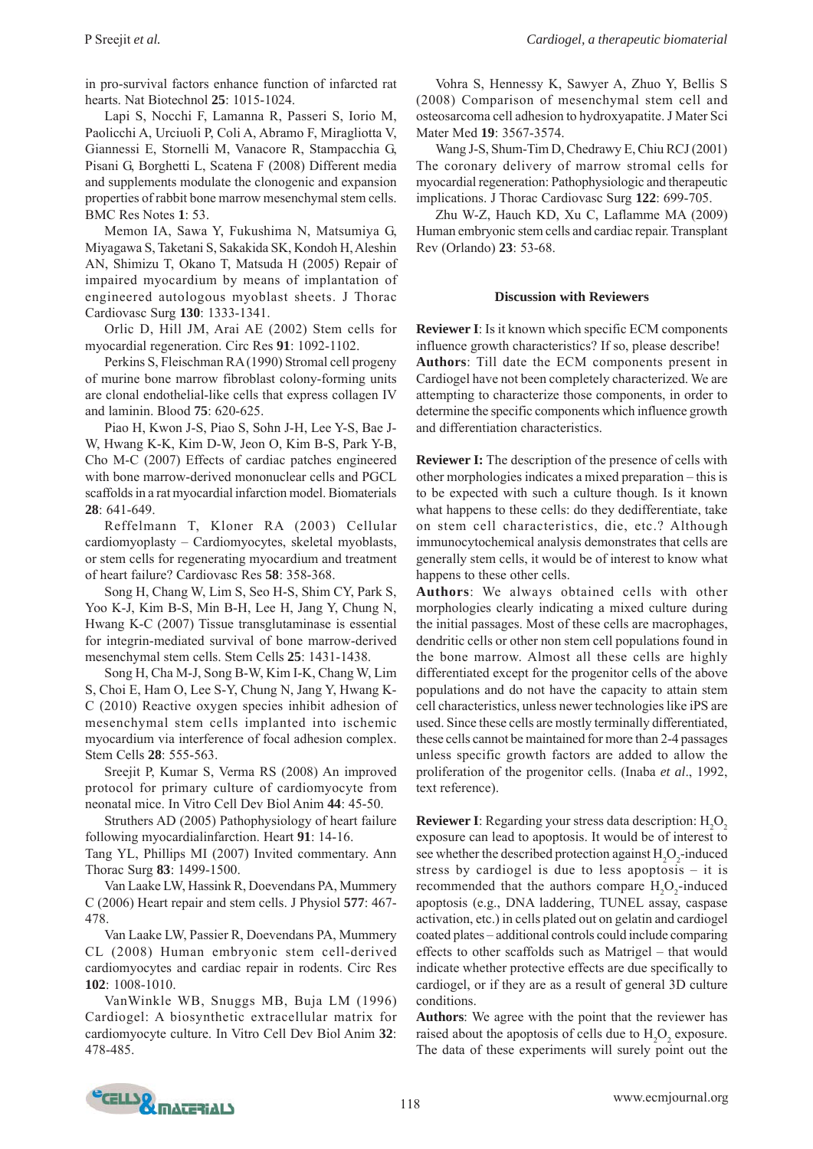in pro-survival factors enhance function of infarcted rat hearts. Nat Biotechnol **25**: 1015-1024.

Lapi S, Nocchi F, Lamanna R, Passeri S, Iorio M, Paolicchi A, Urciuoli P, Coli A, Abramo F, Miragliotta V, Giannessi E, Stornelli M, Vanacore R, Stampacchia G, Pisani G, Borghetti L, Scatena F (2008) Different media and supplements modulate the clonogenic and expansion properties of rabbit bone marrow mesenchymal stem cells. BMC Res Notes **1**: 53.

Memon IA, Sawa Y, Fukushima N, Matsumiya G, Miyagawa S, Taketani S, Sakakida SK, Kondoh H, Aleshin AN, Shimizu T, Okano T, Matsuda H (2005) Repair of impaired myocardium by means of implantation of engineered autologous myoblast sheets. J Thorac Cardiovasc Surg **130**: 1333-1341.

Orlic D, Hill JM, Arai AE (2002) Stem cells for myocardial regeneration. Circ Res **91**: 1092-1102.

Perkins S, Fleischman RA (1990) Stromal cell progeny of murine bone marrow fibroblast colony-forming units are clonal endothelial-like cells that express collagen IV and laminin. Blood **75**: 620-625.

Piao H, Kwon J-S, Piao S, Sohn J-H, Lee Y-S, Bae J-W, Hwang K-K, Kim D-W, Jeon O, Kim B-S, Park Y-B, Cho M-C (2007) Effects of cardiac patches engineered with bone marrow-derived mononuclear cells and PGCL scaffolds in a rat myocardial infarction model. Biomaterials **28**: 641-649.

Reffelmann T, Kloner RA (2003) Cellular cardiomyoplasty – Cardiomyocytes, skeletal myoblasts, or stem cells for regenerating myocardium and treatment of heart failure? Cardiovasc Res **58**: 358-368.

Song H, Chang W, Lim S, Seo H-S, Shim CY, Park S, Yoo K-J, Kim B-S, Min B-H, Lee H, Jang Y, Chung N, Hwang K-C (2007) Tissue transglutaminase is essential for integrin-mediated survival of bone marrow-derived mesenchymal stem cells. Stem Cells **25**: 1431-1438.

Song H, Cha M-J, Song B-W, Kim I-K, Chang W, Lim S, Choi E, Ham O, Lee S-Y, Chung N, Jang Y, Hwang K-C (2010) Reactive oxygen species inhibit adhesion of mesenchymal stem cells implanted into ischemic myocardium via interference of focal adhesion complex. Stem Cells **28**: 555-563.

Sreejit P, Kumar S, Verma RS (2008) An improved protocol for primary culture of cardiomyocyte from neonatal mice. In Vitro Cell Dev Biol Anim **44**: 45-50.

Struthers AD (2005) Pathophysiology of heart failure following myocardialinfarction. Heart **91**: 14-16.

Tang YL, Phillips MI (2007) Invited commentary. Ann Thorac Surg **83**: 1499-1500.

Van Laake LW, Hassink R, Doevendans PA, Mummery C (2006) Heart repair and stem cells. J Physiol **577**: 467- 478.

Van Laake LW, Passier R, Doevendans PA, Mummery CL (2008) Human embryonic stem cell-derived cardiomyocytes and cardiac repair in rodents. Circ Res **102**: 1008-1010.

VanWinkle WB, Snuggs MB, Buja LM (1996) Cardiogel: A biosynthetic extracellular matrix for cardiomyocyte culture. In Vitro Cell Dev Biol Anim **32**: 478-485.

Vohra S, Hennessy K, Sawyer A, Zhuo Y, Bellis S (2008) Comparison of mesenchymal stem cell and osteosarcoma cell adhesion to hydroxyapatite. J Mater Sci Mater Med **19**: 3567-3574.

Wang J-S, Shum-Tim D, Chedrawy E, Chiu RCJ (2001) The coronary delivery of marrow stromal cells for myocardial regeneration: Pathophysiologic and therapeutic implications. J Thorac Cardiovasc Surg **122**: 699-705.

Zhu W-Z, Hauch KD, Xu C, Laflamme MA (2009) Human embryonic stem cells and cardiac repair. Transplant Rev (Orlando) **23**: 53-68.

#### **Discussion with Reviewers**

**Reviewer I**: Is it known which specific ECM components influence growth characteristics? If so, please describe! **Authors**: Till date the ECM components present in Cardiogel have not been completely characterized. We are attempting to characterize those components, in order to determine the specific components which influence growth and differentiation characteristics.

**Reviewer I:** The description of the presence of cells with other morphologies indicates a mixed preparation – this is to be expected with such a culture though. Is it known what happens to these cells: do they dedifferentiate, take on stem cell characteristics, die, etc.? Although immunocytochemical analysis demonstrates that cells are generally stem cells, it would be of interest to know what happens to these other cells.

**Authors**: We always obtained cells with other morphologies clearly indicating a mixed culture during the initial passages. Most of these cells are macrophages, dendritic cells or other non stem cell populations found in the bone marrow. Almost all these cells are highly differentiated except for the progenitor cells of the above populations and do not have the capacity to attain stem cell characteristics, unless newer technologies like iPS are used. Since these cells are mostly terminally differentiated, these cells cannot be maintained for more than 2-4 passages unless specific growth factors are added to allow the proliferation of the progenitor cells. (Inaba *et al*., 1992, text reference).

**Reviewer I**: Regarding your stress data description:  $H_2O_2$ exposure can lead to apoptosis. It would be of interest to see whether the described protection against  $H_2O_2$ -induced stress by cardiogel is due to less apoptosis – it is recommended that the authors compare  $H_2O_2$ -induced apoptosis (e.g., DNA laddering, TUNEL assay, caspase activation, etc.) in cells plated out on gelatin and cardiogel coated plates – additional controls could include comparing effects to other scaffolds such as Matrigel – that would indicate whether protective effects are due specifically to cardiogel, or if they are as a result of general 3D culture conditions.

**Authors**: We agree with the point that the reviewer has raised about the apoptosis of cells due to  $H_2O_2$  exposure. The data of these experiments will surely point out the

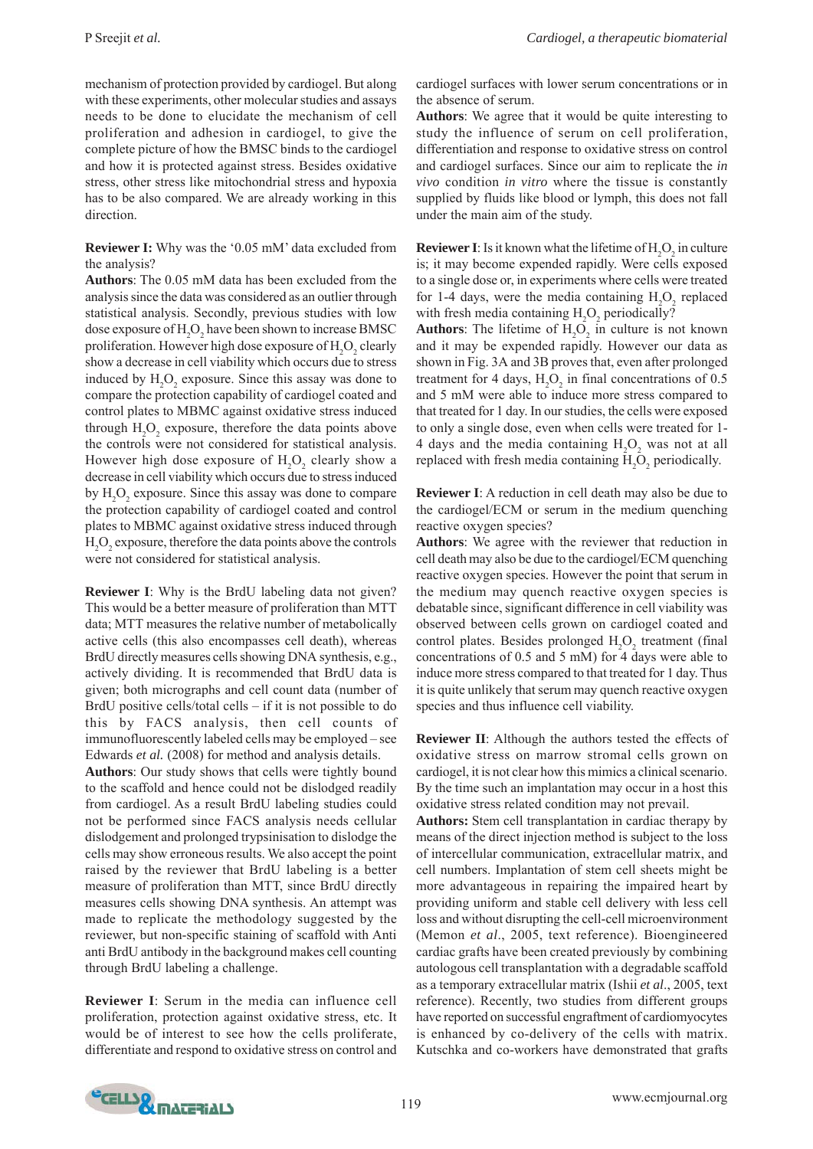mechanism of protection provided by cardiogel. But along with these experiments, other molecular studies and assays needs to be done to elucidate the mechanism of cell proliferation and adhesion in cardiogel, to give the complete picture of how the BMSC binds to the cardiogel and how it is protected against stress. Besides oxidative stress, other stress like mitochondrial stress and hypoxia has to be also compared. We are already working in this direction.

**Reviewer I:** Why was the '0.05 mM' data excluded from the analysis?

**Authors**: The 0.05 mM data has been excluded from the analysis since the data was considered as an outlier through statistical analysis. Secondly, previous studies with low dose exposure of  $\rm H_2O_2$  have been shown to increase BMSC proliferation. However high dose exposure of  ${\rm H_2O_2}$  clearly show a decrease in cell viability which occurs due to stress induced by  $H_2O_2$  exposure. Since this assay was done to compare the protection capability of cardiogel coated and control plates to MBMC against oxidative stress induced through  $H_2O_2$  exposure, therefore the data points above the controls were not considered for statistical analysis. However high dose exposure of  $H_2O_2$  clearly show a decrease in cell viability which occurs due to stress induced by  $H_2O_2$  exposure. Since this assay was done to compare the protection capability of cardiogel coated and control plates to MBMC against oxidative stress induced through  $\rm H_2O_2$  exposure, therefore the data points above the controls were not considered for statistical analysis.

**Reviewer I**: Why is the BrdU labeling data not given? This would be a better measure of proliferation than MTT data; MTT measures the relative number of metabolically active cells (this also encompasses cell death), whereas BrdU directly measures cells showing DNA synthesis, e.g., actively dividing. It is recommended that BrdU data is given; both micrographs and cell count data (number of BrdU positive cells/total cells – if it is not possible to do this by FACS analysis, then cell counts of immunofluorescently labeled cells may be employed – see Edwards *et al.* (2008) for method and analysis details.

**Authors**: Our study shows that cells were tightly bound to the scaffold and hence could not be dislodged readily from cardiogel. As a result BrdU labeling studies could not be performed since FACS analysis needs cellular dislodgement and prolonged trypsinisation to dislodge the cells may show erroneous results. We also accept the point raised by the reviewer that BrdU labeling is a better measure of proliferation than MTT, since BrdU directly measures cells showing DNA synthesis. An attempt was made to replicate the methodology suggested by the reviewer, but non-specific staining of scaffold with Anti anti BrdU antibody in the background makes cell counting through BrdU labeling a challenge.

**Reviewer I**: Serum in the media can influence cell proliferation, protection against oxidative stress, etc. It would be of interest to see how the cells proliferate, differentiate and respond to oxidative stress on control and cardiogel surfaces with lower serum concentrations or in the absence of serum.

**Authors**: We agree that it would be quite interesting to study the influence of serum on cell proliferation, differentiation and response to oxidative stress on control and cardiogel surfaces. Since our aim to replicate the *in vivo* condition *in vitro* where the tissue is constantly supplied by fluids like blood or lymph, this does not fall under the main aim of the study.

**Reviewer I**: Is it known what the lifetime of  $H_2O_2$  in culture is; it may become expended rapidly. Were cells exposed to a single dose or, in experiments where cells were treated for 1-4 days, were the media containing  $H_2O_2$  replaced with fresh media containing  $H_2O_2$  periodically?

**Authors**: The lifetime of  $H_2O_2$  in culture is not known and it may be expended rapidly. However our data as shown in Fig. 3A and 3B proves that, even after prolonged treatment for 4 days,  $H_2O_2$  in final concentrations of 0.5 and 5 mM were able to induce more stress compared to that treated for 1 day. In our studies, the cells were exposed to only a single dose, even when cells were treated for 1- 4 days and the media containing  $H_2O_2$  was not at all replaced with fresh media containing  $H_2O_2$  periodically.

**Reviewer I**: A reduction in cell death may also be due to the cardiogel/ECM or serum in the medium quenching reactive oxygen species?

**Authors**: We agree with the reviewer that reduction in cell death may also be due to the cardiogel/ECM quenching reactive oxygen species. However the point that serum in the medium may quench reactive oxygen species is debatable since, significant difference in cell viability was observed between cells grown on cardiogel coated and control plates. Besides prolonged  $H_2O_2$  treatment (final concentrations of 0.5 and 5 mM) for 4 days were able to induce more stress compared to that treated for 1 day. Thus it is quite unlikely that serum may quench reactive oxygen species and thus influence cell viability.

**Reviewer II**: Although the authors tested the effects of oxidative stress on marrow stromal cells grown on cardiogel, it is not clear how this mimics a clinical scenario. By the time such an implantation may occur in a host this oxidative stress related condition may not prevail.

**Authors:** Stem cell transplantation in cardiac therapy by means of the direct injection method is subject to the loss of intercellular communication, extracellular matrix, and cell numbers. Implantation of stem cell sheets might be more advantageous in repairing the impaired heart by providing uniform and stable cell delivery with less cell loss and without disrupting the cell-cell microenvironment (Memon *et al*., 2005, text reference). Bioengineered cardiac grafts have been created previously by combining autologous cell transplantation with a degradable scaffold as a temporary extracellular matrix (Ishii *et al*., 2005, text reference). Recently, two studies from different groups have reported on successful engraftment of cardiomyocytes is enhanced by co-delivery of the cells with matrix. Kutschka and co-workers have demonstrated that grafts

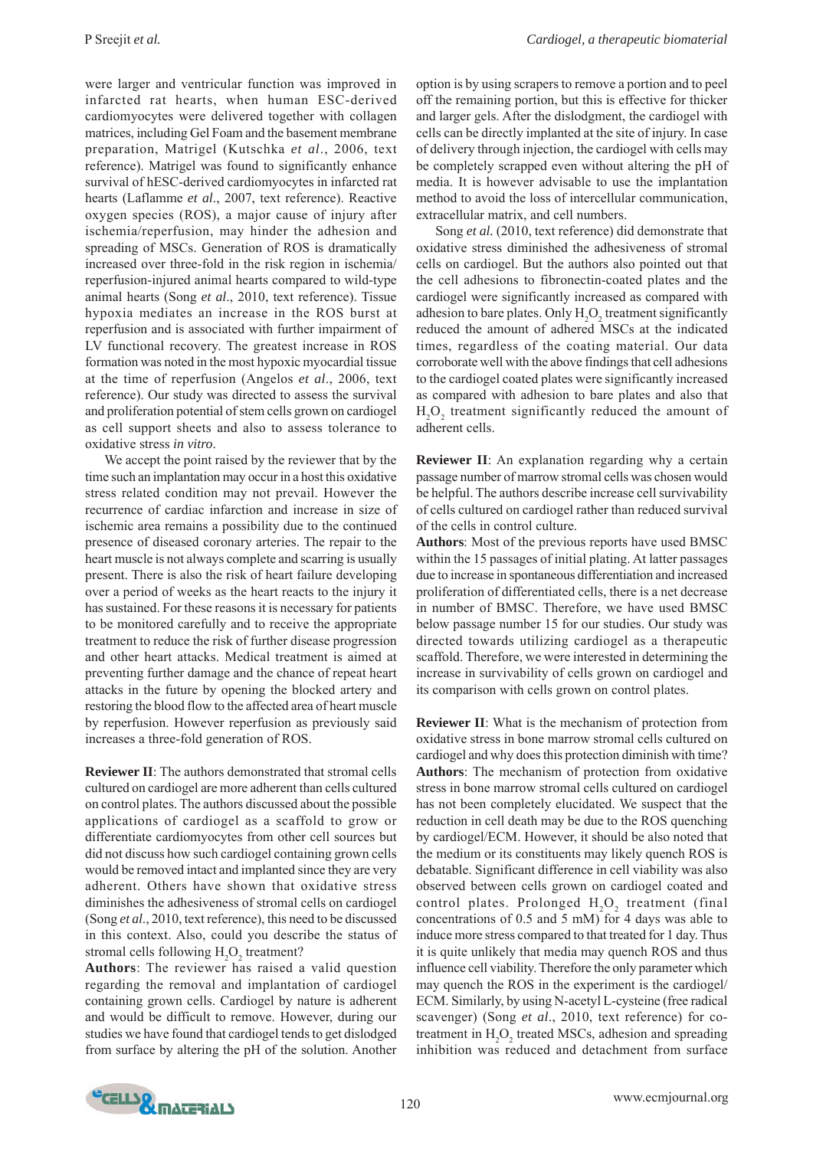were larger and ventricular function was improved in infarcted rat hearts, when human ESC-derived cardiomyocytes were delivered together with collagen matrices, including Gel Foam and the basement membrane preparation, Matrigel (Kutschka *et al*., 2006, text reference). Matrigel was found to significantly enhance survival of hESC-derived cardiomyocytes in infarcted rat hearts (Laflamme *et al*., 2007, text reference). Reactive oxygen species (ROS), a major cause of injury after ischemia/reperfusion, may hinder the adhesion and spreading of MSCs. Generation of ROS is dramatically increased over three-fold in the risk region in ischemia/ reperfusion-injured animal hearts compared to wild-type animal hearts (Song *et al*., 2010, text reference). Tissue hypoxia mediates an increase in the ROS burst at reperfusion and is associated with further impairment of LV functional recovery. The greatest increase in ROS formation was noted in the most hypoxic myocardial tissue at the time of reperfusion (Angelos *et al*., 2006, text reference). Our study was directed to assess the survival and proliferation potential of stem cells grown on cardiogel as cell support sheets and also to assess tolerance to oxidative stress *in vitro*.

We accept the point raised by the reviewer that by the time such an implantation may occur in a host this oxidative stress related condition may not prevail. However the recurrence of cardiac infarction and increase in size of ischemic area remains a possibility due to the continued presence of diseased coronary arteries. The repair to the heart muscle is not always complete and scarring is usually present. There is also the risk of heart failure developing over a period of weeks as the heart reacts to the injury it has sustained. For these reasons it is necessary for patients to be monitored carefully and to receive the appropriate treatment to reduce the risk of further disease progression and other heart attacks. Medical treatment is aimed at preventing further damage and the chance of repeat heart attacks in the future by opening the blocked artery and restoring the blood flow to the affected area of heart muscle by reperfusion. However reperfusion as previously said increases a three-fold generation of ROS.

**Reviewer II**: The authors demonstrated that stromal cells cultured on cardiogel are more adherent than cells cultured on control plates. The authors discussed about the possible applications of cardiogel as a scaffold to grow or differentiate cardiomyocytes from other cell sources but did not discuss how such cardiogel containing grown cells would be removed intact and implanted since they are very adherent. Others have shown that oxidative stress diminishes the adhesiveness of stromal cells on cardiogel (Song *et al*., 2010, text reference), this need to be discussed in this context. Also, could you describe the status of stromal cells following  $H_2O_2$  treatment?

**Authors**: The reviewer has raised a valid question regarding the removal and implantation of cardiogel containing grown cells. Cardiogel by nature is adherent and would be difficult to remove. However, during our studies we have found that cardiogel tends to get dislodged from surface by altering the pH of the solution. Another

option is by using scrapers to remove a portion and to peel off the remaining portion, but this is effective for thicker and larger gels. After the dislodgment, the cardiogel with cells can be directly implanted at the site of injury. In case of delivery through injection, the cardiogel with cells may be completely scrapped even without altering the pH of media. It is however advisable to use the implantation method to avoid the loss of intercellular communication, extracellular matrix, and cell numbers.

Song *et al.* (2010, text reference) did demonstrate that oxidative stress diminished the adhesiveness of stromal cells on cardiogel. But the authors also pointed out that the cell adhesions to fibronectin-coated plates and the cardiogel were significantly increased as compared with adhesion to bare plates. Only  $H_2O_2$  treatment significantly reduced the amount of adhered MSCs at the indicated times, regardless of the coating material. Our data corroborate well with the above findings that cell adhesions to the cardiogel coated plates were significantly increased as compared with adhesion to bare plates and also that  $H_2O_2$  treatment significantly reduced the amount of adherent cells.

**Reviewer II**: An explanation regarding why a certain passage number of marrow stromal cells was chosen would be helpful. The authors describe increase cell survivability of cells cultured on cardiogel rather than reduced survival of the cells in control culture.

**Authors**: Most of the previous reports have used BMSC within the 15 passages of initial plating. At latter passages due to increase in spontaneous differentiation and increased proliferation of differentiated cells, there is a net decrease in number of BMSC. Therefore, we have used BMSC below passage number 15 for our studies. Our study was directed towards utilizing cardiogel as a therapeutic scaffold. Therefore, we were interested in determining the increase in survivability of cells grown on cardiogel and its comparison with cells grown on control plates.

**Reviewer II**: What is the mechanism of protection from oxidative stress in bone marrow stromal cells cultured on cardiogel and why does this protection diminish with time? **Authors**: The mechanism of protection from oxidative stress in bone marrow stromal cells cultured on cardiogel has not been completely elucidated. We suspect that the reduction in cell death may be due to the ROS quenching by cardiogel/ECM. However, it should be also noted that the medium or its constituents may likely quench ROS is debatable. Significant difference in cell viability was also observed between cells grown on cardiogel coated and control plates. Prolonged  $\mathrm{H}_{2}\mathrm{O}_{2}$  treatment (final concentrations of 0.5 and 5 mM) for 4 days was able to induce more stress compared to that treated for 1 day. Thus it is quite unlikely that media may quench ROS and thus influence cell viability. Therefore the only parameter which may quench the ROS in the experiment is the cardiogel/ ECM. Similarly, by using N-acetyl L-cysteine (free radical scavenger) (Song *et al*., 2010, text reference) for cotreatment in  $H_2O_2$  treated MSCs, adhesion and spreading inhibition was reduced and detachment from surface